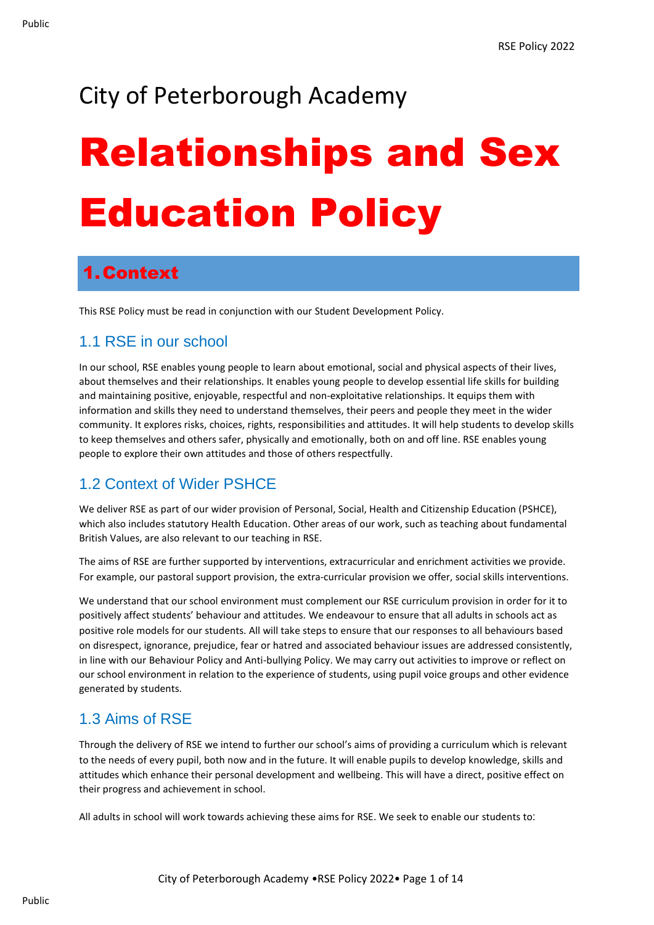## City of Peterborough Academy

# Relationships and Sex Education Policy

## 1.Context

This RSE Policy must be read in conjunction with our Student Development Policy.

#### 1.1 RSE in our school

In our school, RSE enables young people to learn about emotional, social and physical aspects of their lives, about themselves and their relationships. It enables young people to develop essential life skills for building and maintaining positive, enjoyable, respectful and non-exploitative relationships. It equips them with information and skills they need to understand themselves, their peers and people they meet in the wider community. It explores risks, choices, rights, responsibilities and attitudes. It will help students to develop skills to keep themselves and others safer, physically and emotionally, both on and off line. RSE enables young people to explore their own attitudes and those of others respectfully.

#### 1.2 Context of Wider PSHCE

We deliver RSE as part of our wider provision of Personal, Social, Health and Citizenship Education (PSHCE), which also includes statutory Health Education. Other areas of our work, such as teaching about fundamental British Values, are also relevant to our teaching in RSE.

The aims of RSE are further supported by interventions, extracurricular and enrichment activities we provide. For example, our pastoral support provision, the extra-curricular provision we offer, social skills interventions.

We understand that our school environment must complement our RSE curriculum provision in order for it to positively affect students' behaviour and attitudes. We endeavour to ensure that all adults in schools act as positive role models for our students. All will take steps to ensure that our responses to all behaviours based on disrespect, ignorance, prejudice, fear or hatred and associated behaviour issues are addressed consistently, in line with our Behaviour Policy and Anti-bullying Policy. We may carry out activities to improve or reflect on our school environment in relation to the experience of students, using pupil voice groups and other evidence generated by students.

#### 1.3 Aims of RSE

Through the delivery of RSE we intend to further our school's aims of providing a curriculum which is relevant to the needs of every pupil, both now and in the future. It will enable pupils to develop knowledge, skills and attitudes which enhance their personal development and wellbeing. This will have a direct, positive effect on their progress and achievement in school.

All adults in school will work towards achieving these aims for RSE. We seek to enable our students to:

Public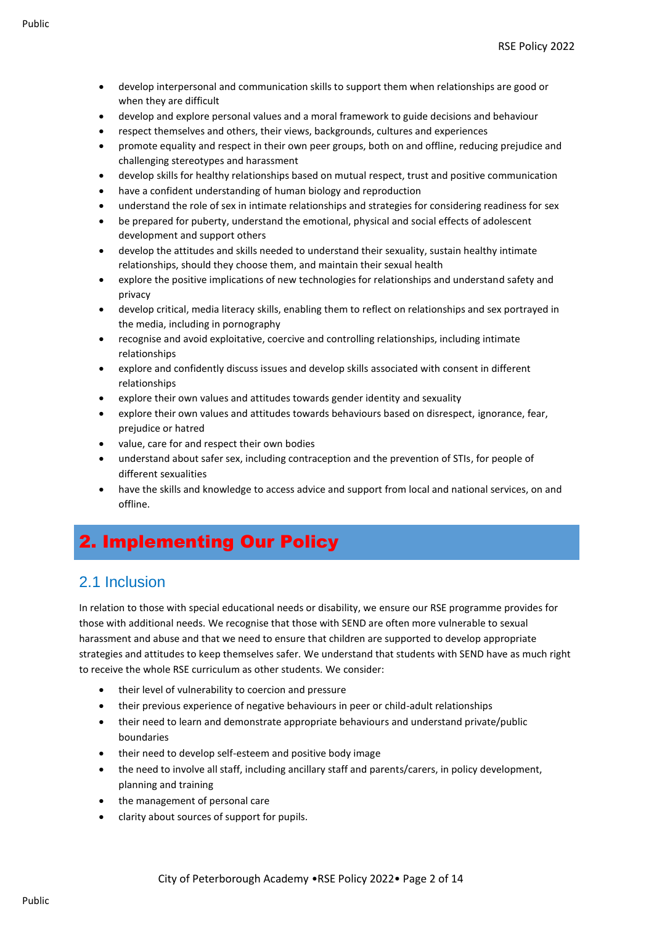- develop interpersonal and communication skills to support them when relationships are good or when they are difficult
- develop and explore personal values and a moral framework to guide decisions and behaviour
- respect themselves and others, their views, backgrounds, cultures and experiences
- promote equality and respect in their own peer groups, both on and offline, reducing prejudice and challenging stereotypes and harassment
- develop skills for healthy relationships based on mutual respect, trust and positive communication
- have a confident understanding of human biology and reproduction
- understand the role of sex in intimate relationships and strategies for considering readiness for sex
- be prepared for puberty, understand the emotional, physical and social effects of adolescent development and support others
- develop the attitudes and skills needed to understand their sexuality, sustain healthy intimate relationships, should they choose them, and maintain their sexual health
- explore the positive implications of new technologies for relationships and understand safety and privacy
- develop critical, media literacy skills, enabling them to reflect on relationships and sex portrayed in the media, including in pornography
- recognise and avoid exploitative, coercive and controlling relationships, including intimate relationships
- explore and confidently discuss issues and develop skills associated with consent in different relationships
- explore their own values and attitudes towards gender identity and sexuality
- explore their own values and attitudes towards behaviours based on disrespect, ignorance, fear, prejudice or hatred
- value, care for and respect their own bodies
- understand about safer sex, including contraception and the prevention of STIs, for people of different sexualities
- have the skills and knowledge to access advice and support from local and national services, on and offline.

## 2. Implementing Our Policy

#### 2.1 Inclusion

In relation to those with special educational needs or disability, we ensure our RSE programme provides for those with additional needs. We recognise that those with SEND are often more vulnerable to sexual harassment and abuse and that we need to ensure that children are supported to develop appropriate strategies and attitudes to keep themselves safer. We understand that students with SEND have as much right to receive the whole RSE curriculum as other students. We consider:

- their level of vulnerability to coercion and pressure
- their previous experience of negative behaviours in peer or child-adult relationships
- their need to learn and demonstrate appropriate behaviours and understand private/public boundaries
- their need to develop self-esteem and positive body image
- the need to involve all staff, including ancillary staff and parents/carers, in policy development, planning and training
- the management of personal care
- clarity about sources of support for pupils.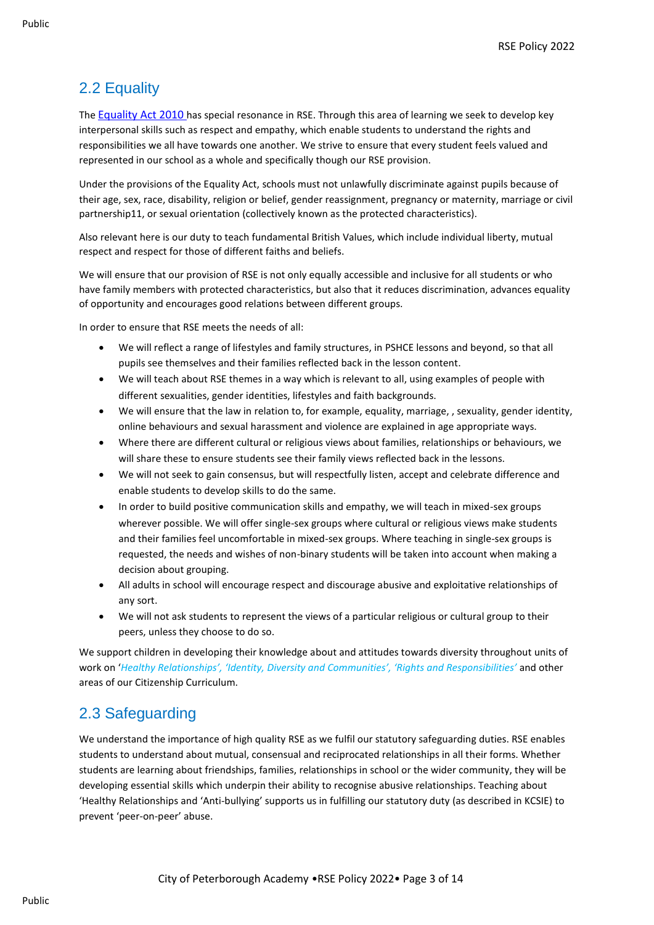### 2.2 Equality

The [Equality Act 2010](http://www.legislation.gov.uk/ukpga/2010/15/contents) has special resonance in RSE. Through this area of learning we seek to develop key interpersonal skills such as respect and empathy, which enable students to understand the rights and responsibilities we all have towards one another. We strive to ensure that every student feels valued and represented in our school as a whole and specifically though our RSE provision.

Under the provisions of the Equality Act, schools must not unlawfully discriminate against pupils because of their age, sex, race, disability, religion or belief, gender reassignment, pregnancy or maternity, marriage or civil partnership11, or sexual orientation (collectively known as the protected characteristics).

Also relevant here is our duty to teach fundamental British Values, which include individual liberty, mutual respect and respect for those of different faiths and beliefs.

We will ensure that our provision of RSE is not only equally accessible and inclusive for all students or who have family members with protected characteristics, but also that it reduces discrimination, advances equality of opportunity and encourages good relations between different groups.

In order to ensure that RSE meets the needs of all:

- We will reflect a range of lifestyles and family structures, in PSHCE lessons and beyond, so that all pupils see themselves and their families reflected back in the lesson content.
- We will teach about RSE themes in a way which is relevant to all, using examples of people with different sexualities, gender identities, lifestyles and faith backgrounds.
- We will ensure that the law in relation to, for example, equality, marriage, , sexuality, gender identity, online behaviours and sexual harassment and violence are explained in age appropriate ways.
- Where there are different cultural or religious views about families, relationships or behaviours, we will share these to ensure students see their family views reflected back in the lessons.
- We will not seek to gain consensus, but will respectfully listen, accept and celebrate difference and enable students to develop skills to do the same.
- In order to build positive communication skills and empathy, we will teach in mixed-sex groups wherever possible. We will offer single-sex groups where cultural or religious views make students and their families feel uncomfortable in mixed-sex groups. Where teaching in single-sex groups is requested, the needs and wishes of non-binary students will be taken into account when making a decision about grouping.
- All adults in school will encourage respect and discourage abusive and exploitative relationships of any sort.
- We will not ask students to represent the views of a particular religious or cultural group to their peers, unless they choose to do so.

We support children in developing their knowledge about and attitudes towards diversity throughout units of work on '*Healthy Relationships', 'Identity, Diversity and Communities', 'Rights and Responsibilities'* and other areas of our Citizenship Curriculum.

#### 2.3 Safeguarding

We understand the importance of high quality RSE as we fulfil our statutory safeguarding duties. RSE enables students to understand about mutual, consensual and reciprocated relationships in all their forms. Whether students are learning about friendships, families, relationships in school or the wider community, they will be developing essential skills which underpin their ability to recognise abusive relationships. Teaching about 'Healthy Relationships and 'Anti-bullying' supports us in fulfilling our statutory duty (as described in KCSIE) to prevent 'peer-on-peer' abuse.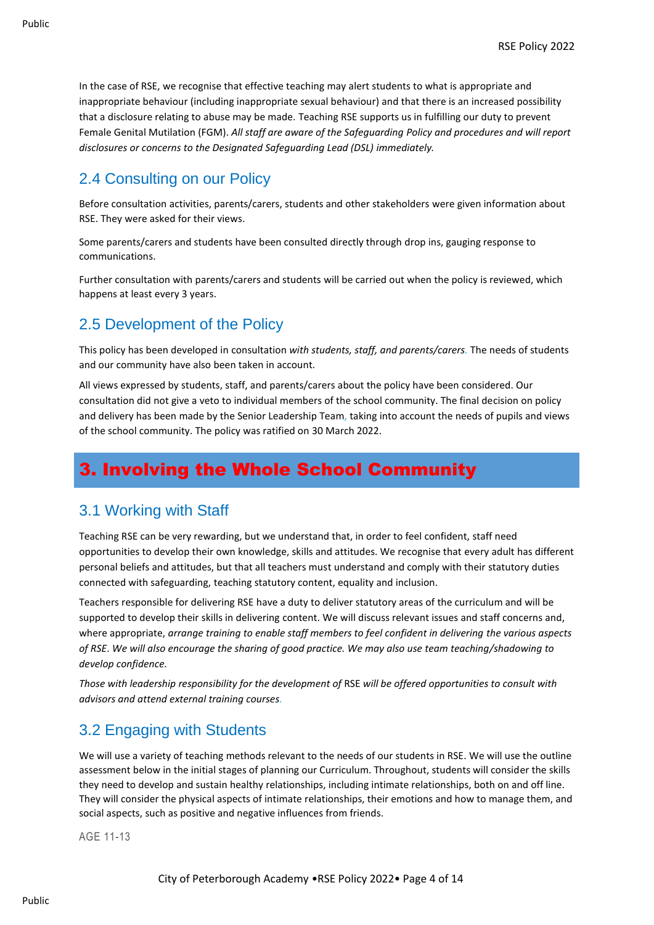In the case of RSE, we recognise that effective teaching may alert students to what is appropriate and inappropriate behaviour (including inappropriate sexual behaviour) and that there is an increased possibility that a disclosure relating to abuse may be made. Teaching RSE supports us in fulfilling our duty to prevent Female Genital Mutilation (FGM). *All staff are aware of the Safeguarding Policy and procedures and will report disclosures or concerns to the Designated Safeguarding Lead (DSL) immediately.*

#### 2.4 Consulting on our Policy

Before consultation activities, parents/carers, students and other stakeholders were given information about RSE. They were asked for their views.

Some parents/carers and students have been consulted directly through drop ins, gauging response to communications.

Further consultation with parents/carers and students will be carried out when the policy is reviewed, which happens at least every 3 years.

#### 2.5 Development of the Policy

This policy has been developed in consultation *with students, staff, and parents/carers.* The needs of students and our community have also been taken in account.

All views expressed by students, staff, and parents/carers about the policy have been considered. Our consultation did not give a veto to individual members of the school community. The final decision on policy and delivery has been made by the Senior Leadership Team, taking into account the needs of pupils and views of the school community. The policy was ratified on 30 March 2022.

## 3. Involving the Whole School Community

#### 3.1 Working with Staff

Teaching RSE can be very rewarding, but we understand that, in order to feel confident, staff need opportunities to develop their own knowledge, skills and attitudes. We recognise that every adult has different personal beliefs and attitudes, but that all teachers must understand and comply with their statutory duties connected with safeguarding, teaching statutory content, equality and inclusion.

Teachers responsible for delivering RSE have a duty to deliver statutory areas of the curriculum and will be supported to develop their skills in delivering content. We will discuss relevant issues and staff concerns and, where appropriate, *arrange training to enable staff members to feel confident in delivering the various aspects of RSE*. *We will also encourage the sharing of good practice. We may also use team teaching/shadowing to develop confidence.*

*Those with leadership responsibility for the development of* RSE *will be offered opportunities to consult with advisors and attend external training courses.*

#### 3.2 Engaging with Students

We will use a variety of teaching methods relevant to the needs of our students in RSE. We will use the outline assessment below in the initial stages of planning our Curriculum. Throughout, students will consider the skills they need to develop and sustain healthy relationships, including intimate relationships, both on and off line. They will consider the physical aspects of intimate relationships, their emotions and how to manage them, and social aspects, such as positive and negative influences from friends.

AGE 11-13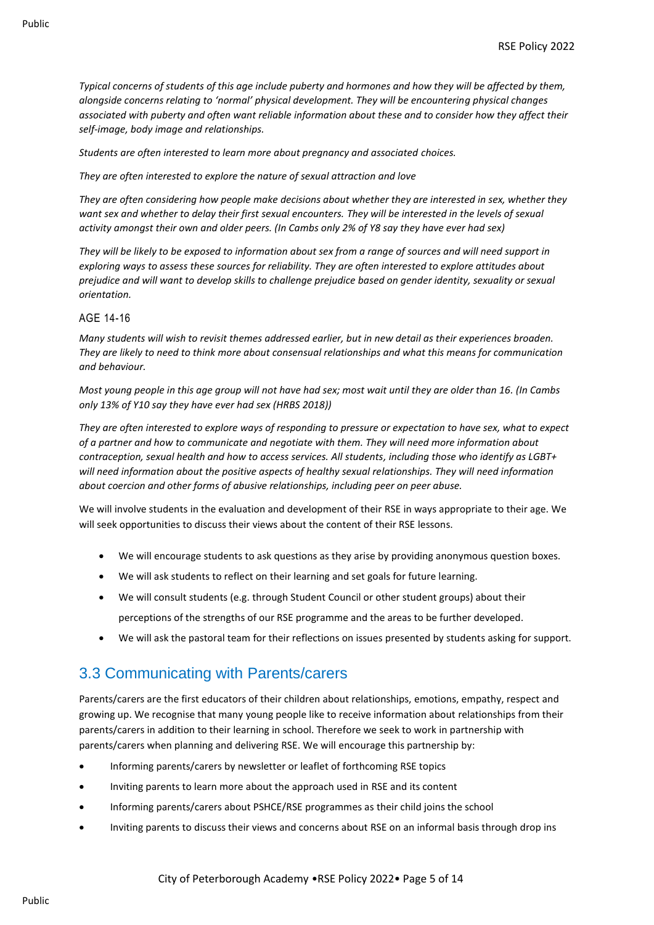*Typical concerns of students of this age include puberty and hormones and how they will be affected by them, alongside concerns relating to 'normal' physical development. They will be encountering physical changes associated with puberty and often want reliable information about these and to consider how they affect their self-image, body image and relationships.*

*Students are often interested to learn more about pregnancy and associated choices.*

*They are often interested to explore the nature of sexual attraction and love* 

*They are often considering how people make decisions about whether they are interested in sex, whether they want sex and whether to delay their first sexual encounters. They will be interested in the levels of sexual activity amongst their own and older peers. (In Cambs only 2% of Y8 say they have ever had sex)*

*They will be likely to be exposed to information about sex from a range of sources and will need support in exploring ways to assess these sources for reliability. They are often interested to explore attitudes about prejudice and will want to develop skills to challenge prejudice based on gender identity, sexuality or sexual orientation.*

#### AGE 14-16

*Many students will wish to revisit themes addressed earlier, but in new detail as their experiences broaden. They are likely to need to think more about consensual relationships and what this means for communication and behaviour.*

*Most young people in this age group will not have had sex; most wait until they are older than 16. (In Cambs only 13% of Y10 say they have ever had sex (HRBS 2018))*

*They are often interested to explore ways of responding to pressure or expectation to have sex, what to expect of a partner and how to communicate and negotiate with them. They will need more information about contraception, sexual health and how to access services. All students, including those who identify as LGBT+ will need information about the positive aspects of healthy sexual relationships. They will need information about coercion and other forms of abusive relationships, including peer on peer abuse.*

We will involve students in the evaluation and development of their RSE in ways appropriate to their age. We will seek opportunities to discuss their views about the content of their RSE lessons.

- We will encourage students to ask questions as they arise by providing anonymous question boxes.
- We will ask students to reflect on their learning and set goals for future learning.
- We will consult students (e.g. through Student Council or other student groups) about their perceptions of the strengths of our RSE programme and the areas to be further developed.
- We will ask the pastoral team for their reflections on issues presented by students asking for support.

#### 3.3 Communicating with Parents/carers

Parents/carers are the first educators of their children about relationships, emotions, empathy, respect and growing up. We recognise that many young people like to receive information about relationships from their parents/carers in addition to their learning in school. Therefore we seek to work in partnership with parents/carers when planning and delivering RSE. We will encourage this partnership by:

- Informing parents/carers by newsletter or leaflet of forthcoming RSE topics
- Inviting parents to learn more about the approach used in RSE and its content
- Informing parents/carers about PSHCE/RSE programmes as their child joins the school
- Inviting parents to discuss their views and concerns about RSE on an informal basis through drop ins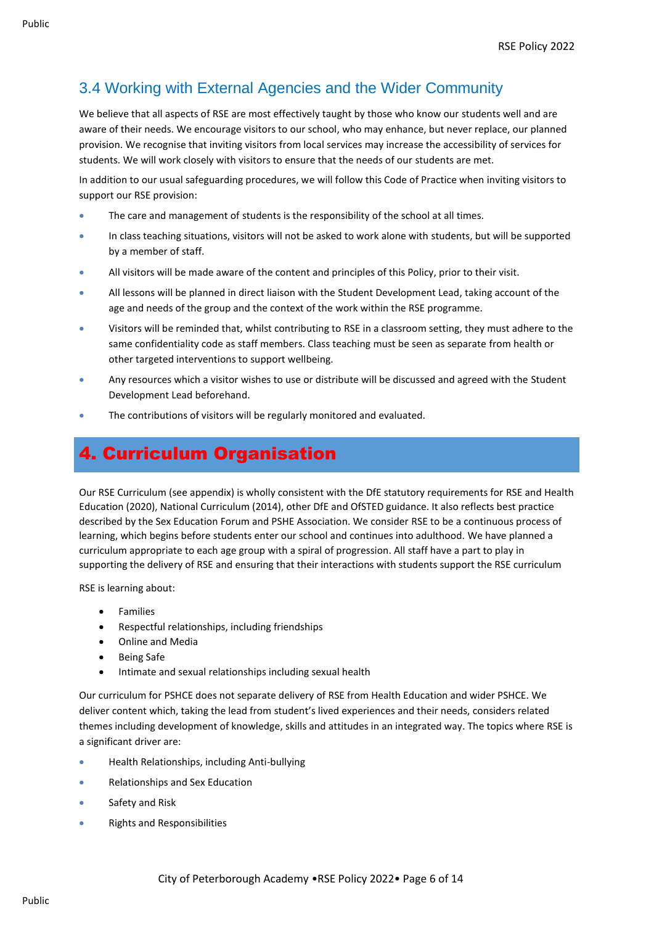## 3.4 Working with External Agencies and the Wider Community

We believe that all aspects of RSE are most effectively taught by those who know our students well and are aware of their needs. We encourage visitors to our school, who may enhance, but never replace, our planned provision. We recognise that inviting visitors from local services may increase the accessibility of services for students. We will work closely with visitors to ensure that the needs of our students are met.

In addition to our usual safeguarding procedures, we will follow this Code of Practice when inviting visitors to support our RSE provision:

- The care and management of students is the responsibility of the school at all times.
- In class teaching situations, visitors will not be asked to work alone with students, but will be supported by a member of staff.
- All visitors will be made aware of the content and principles of this Policy, prior to their visit.
- All lessons will be planned in direct liaison with the Student Development Lead, taking account of the age and needs of the group and the context of the work within the RSE programme.
- Visitors will be reminded that, whilst contributing to RSE in a classroom setting, they must adhere to the same confidentiality code as staff members. Class teaching must be seen as separate from health or other targeted interventions to support wellbeing.
- Any resources which a visitor wishes to use or distribute will be discussed and agreed with the Student Development Lead beforehand.
- The contributions of visitors will be regularly monitored and evaluated.

## 4. Curriculum Organisation

Our RSE Curriculum (see appendix) is wholly consistent with the DfE statutory requirements for RSE and Health Education (2020), National Curriculum (2014), other DfE and OfSTED guidance. It also reflects best practice described by the Sex Education Forum and PSHE Association. We consider RSE to be a continuous process of learning, which begins before students enter our school and continues into adulthood. We have planned a curriculum appropriate to each age group with a spiral of progression. All staff have a part to play in supporting the delivery of RSE and ensuring that their interactions with students support the RSE curriculum

RSE is learning about:

- Families
- Respectful relationships, including friendships
- Online and Media
- Being Safe
- Intimate and sexual relationships including sexual health

Our curriculum for PSHCE does not separate delivery of RSE from Health Education and wider PSHCE. We deliver content which, taking the lead from student's lived experiences and their needs, considers related themes including development of knowledge, skills and attitudes in an integrated way. The topics where RSE is a significant driver are:

- Health Relationships, including Anti-bullying
- Relationships and Sex Education
- Safety and Risk
- Rights and Responsibilities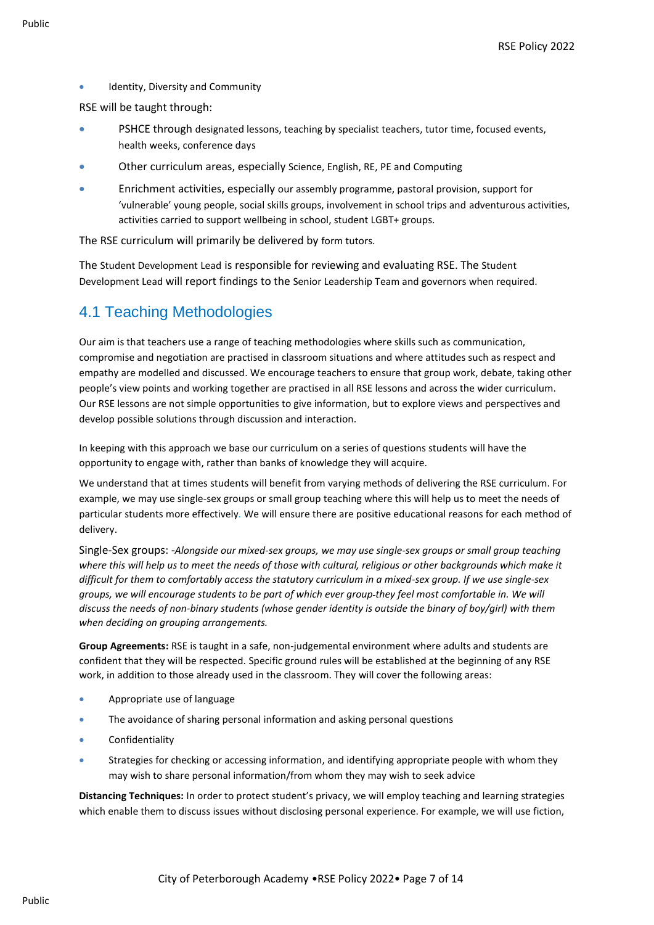Identity, Diversity and Community

RSE will be taught through:

- PSHCE through designated lessons, teaching by specialist teachers, tutor time, focused events, health weeks, conference days
- Other curriculum areas, especially Science, English, RE, PE and Computing
- Enrichment activities, especially our assembly programme, pastoral provision, support for 'vulnerable' young people, social skills groups, involvement in school trips and adventurous activities, activities carried to support wellbeing in school, student LGBT+ groups.

The RSE curriculum will primarily be delivered by form tutors.

The Student Development Lead is responsible for reviewing and evaluating RSE. The Student Development Lead will report findings to the Senior Leadership Team and governors when required.

#### 4.1 Teaching Methodologies

Our aim is that teachers use a range of teaching methodologies where skills such as communication, compromise and negotiation are practised in classroom situations and where attitudes such as respect and empathy are modelled and discussed. We encourage teachers to ensure that group work, debate, taking other people's view points and working together are practised in all RSE lessons and across the wider curriculum. Our RSE lessons are not simple opportunities to give information, but to explore views and perspectives and develop possible solutions through discussion and interaction.

In keeping with this approach we base our curriculum on a series of questions students will have the opportunity to engage with, rather than banks of knowledge they will acquire.

We understand that at times students will benefit from varying methods of delivering the RSE curriculum. For example, we may use single-sex groups or small group teaching where this will help us to meet the needs of particular students more effectively*.* We will ensure there are positive educational reasons for each method of delivery.

Single-Sex groups: -*Alongside our mixed-sex groups, we may use single-sex groups or small group teaching where this will help us to meet the needs of those with cultural, religious or other backgrounds which make it difficult for them to comfortably access the statutory curriculum in a mixed-sex group. If we use single-sex groups, we will encourage students to be part of which ever group they feel most comfortable in. We will discuss the needs of non-binary students (whose gender identity is outside the binary of boy/girl) with them when deciding on grouping arrangements.*

**Group Agreements:** RSE is taught in a safe, non-judgemental environment where adults and students are confident that they will be respected. Specific ground rules will be established at the beginning of any RSE work, in addition to those already used in the classroom. They will cover the following areas:

- Appropriate use of language
- The avoidance of sharing personal information and asking personal questions
- **Confidentiality**
- Strategies for checking or accessing information, and identifying appropriate people with whom they may wish to share personal information/from whom they may wish to seek advice

**Distancing Techniques:** In order to protect student's privacy, we will employ teaching and learning strategies which enable them to discuss issues without disclosing personal experience. For example, we will use fiction,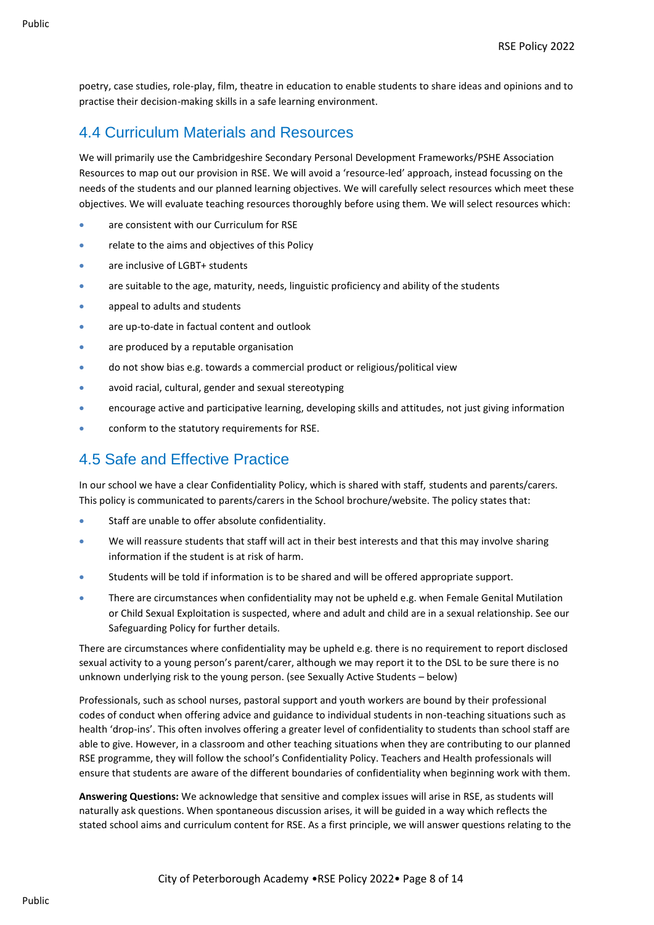poetry, case studies, role-play, film, theatre in education to enable students to share ideas and opinions and to practise their decision-making skills in a safe learning environment.

#### 4.4 Curriculum Materials and Resources

We will primarily use the Cambridgeshire Secondary Personal Development Frameworks/PSHE Association Resources to map out our provision in RSE. We will avoid a 'resource-led' approach, instead focussing on the needs of the students and our planned learning objectives. We will carefully select resources which meet these objectives. We will evaluate teaching resources thoroughly before using them. We will select resources which:

- are consistent with our Curriculum for RSE
- relate to the aims and objectives of this Policy
- are inclusive of LGBT+ students
- are suitable to the age, maturity, needs, linguistic proficiency and ability of the students
- appeal to adults and students
- are up-to-date in factual content and outlook
- are produced by a reputable organisation
- do not show bias e.g. towards a commercial product or religious/political view
- avoid racial, cultural, gender and sexual stereotyping
- encourage active and participative learning, developing skills and attitudes, not just giving information
- conform to the statutory requirements for RSE.

#### 4.5 Safe and Effective Practice

In our school we have a clear Confidentiality Policy, which is shared with staff, students and parents/carers. This policy is communicated to parents/carers in the School brochure/website. The policy states that:

- Staff are unable to offer absolute confidentiality.
- We will reassure students that staff will act in their best interests and that this may involve sharing information if the student is at risk of harm.
- Students will be told if information is to be shared and will be offered appropriate support.
- There are circumstances when confidentiality may not be upheld e.g. when Female Genital Mutilation or Child Sexual Exploitation is suspected, where and adult and child are in a sexual relationship. See our Safeguarding Policy for further details.

There are circumstances where confidentiality may be upheld e.g. there is no requirement to report disclosed sexual activity to a young person's parent/carer, although we may report it to the DSL to be sure there is no unknown underlying risk to the young person. (see Sexually Active Students – below)

Professionals, such as school nurses, pastoral support and youth workers are bound by their professional codes of conduct when offering advice and guidance to individual students in non-teaching situations such as health 'drop-ins'. This often involves offering a greater level of confidentiality to students than school staff are able to give. However, in a classroom and other teaching situations when they are contributing to our planned RSE programme, they will follow the school's Confidentiality Policy. Teachers and Health professionals will ensure that students are aware of the different boundaries of confidentiality when beginning work with them.

**Answering Questions:** We acknowledge that sensitive and complex issues will arise in RSE, as students will naturally ask questions. When spontaneous discussion arises, it will be guided in a way which reflects the stated school aims and curriculum content for RSE. As a first principle, we will answer questions relating to the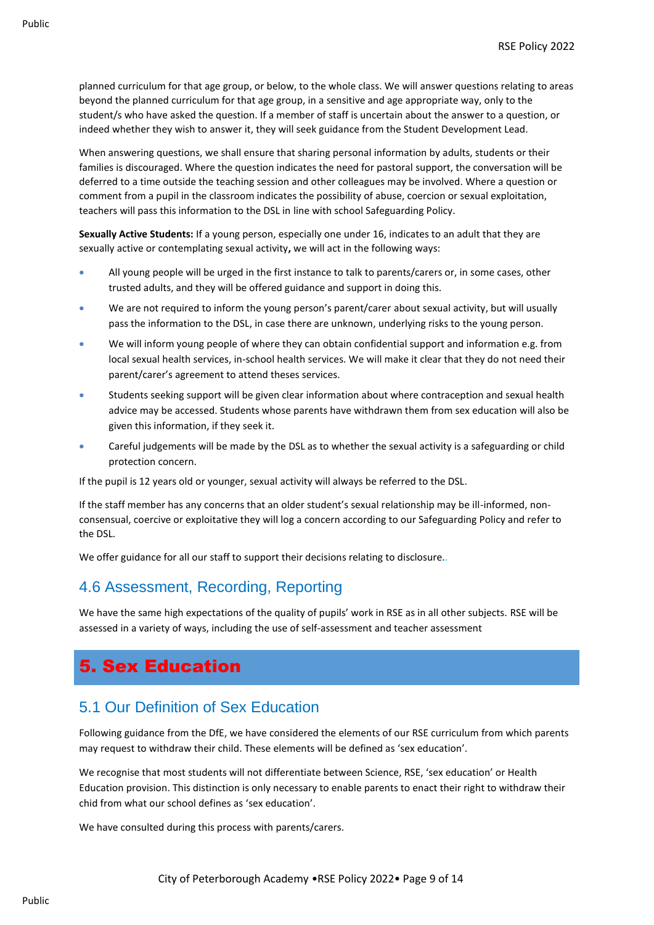planned curriculum for that age group, or below, to the whole class. We will answer questions relating to areas beyond the planned curriculum for that age group, in a sensitive and age appropriate way, only to the student/s who have asked the question. If a member of staff is uncertain about the answer to a question, or indeed whether they wish to answer it, they will seek guidance from the Student Development Lead.

When answering questions, we shall ensure that sharing personal information by adults, students or their families is discouraged. Where the question indicates the need for pastoral support, the conversation will be deferred to a time outside the teaching session and other colleagues may be involved. Where a question or comment from a pupil in the classroom indicates the possibility of abuse, coercion or sexual exploitation, teachers will pass this information to the DSL in line with school Safeguarding Policy.

**Sexually Active Students:** If a young person, especially one under 16, indicates to an adult that they are sexually active or contemplating sexual activity**,** we will act in the following ways:

- All young people will be urged in the first instance to talk to parents/carers or, in some cases, other trusted adults, and they will be offered guidance and support in doing this.
- We are not required to inform the young person's parent/carer about sexual activity, but will usually pass the information to the DSL, in case there are unknown, underlying risks to the young person.
- We will inform young people of where they can obtain confidential support and information e.g. from local sexual health services, in-school health services. We will make it clear that they do not need their parent/carer's agreement to attend theses services.
- Students seeking support will be given clear information about where contraception and sexual health advice may be accessed. Students whose parents have withdrawn them from sex education will also be given this information, if they seek it.
- Careful judgements will be made by the DSL as to whether the sexual activity is a safeguarding or child protection concern.

If the pupil is 12 years old or younger, sexual activity will always be referred to the DSL.

If the staff member has any concerns that an older student's sexual relationship may be ill-informed, nonconsensual, coercive or exploitative they will log a concern according to our Safeguarding Policy and refer to the DSL.

We offer guidance for all our staff to support their decisions relating to disclosure.*.*

#### 4.6 Assessment, Recording, Reporting

We have the same high expectations of the quality of pupils' work in RSE as in all other subjects. RSE will be assessed in a variety of ways, including the use of self-assessment and teacher assessment

## 5. Sex Education

#### 5.1 Our Definition of Sex Education

Following guidance from the DfE, we have considered the elements of our RSE curriculum from which parents may request to withdraw their child. These elements will be defined as 'sex education'.

We recognise that most students will not differentiate between Science, RSE, 'sex education' or Health Education provision. This distinction is only necessary to enable parents to enact their right to withdraw their chid from what our school defines as 'sex education'.

We have consulted during this process with parents/carers.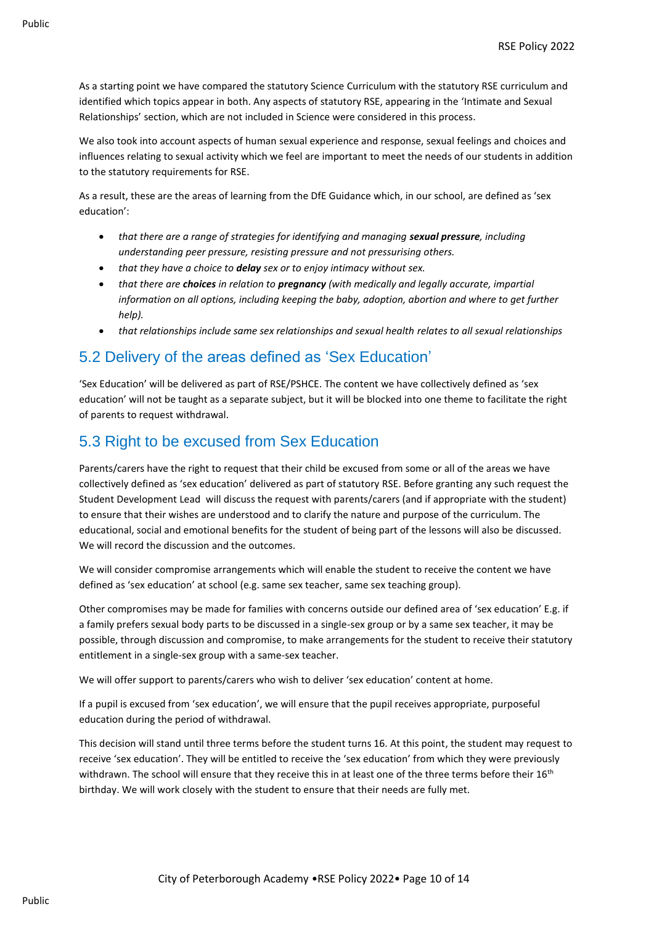As a starting point we have compared the statutory Science Curriculum with the statutory RSE curriculum and identified which topics appear in both. Any aspects of statutory RSE, appearing in the 'Intimate and Sexual Relationships' section, which are not included in Science were considered in this process.

We also took into account aspects of human sexual experience and response, sexual feelings and choices and influences relating to sexual activity which we feel are important to meet the needs of our students in addition to the statutory requirements for RSE.

As a result, these are the areas of learning from the DfE Guidance which, in our school, are defined as 'sex education':

- *that there are a range of strategies for identifying and managing <i>sexual pressure*, *including understanding peer pressure, resisting pressure and not pressurising others.*
- *that they have a choice to delay sex or to enjoy intimacy without sex.*
- *that there are choices in relation to pregnancy (with medically and legally accurate, impartial information on all options, including keeping the baby, adoption, abortion and where to get further help).*
- *that relationships include same sex relationships and sexual health relates to all sexual relationships*

#### 5.2 Delivery of the areas defined as 'Sex Education'

'Sex Education' will be delivered as part of RSE/PSHCE. The content we have collectively defined as 'sex education' will not be taught as a separate subject, but it will be blocked into one theme to facilitate the right of parents to request withdrawal.

#### 5.3 Right to be excused from Sex Education

Parents/carers have the right to request that their child be excused from some or all of the areas we have collectively defined as 'sex education' delivered as part of statutory RSE. Before granting any such request the Student Development Lead will discuss the request with parents/carers (and if appropriate with the student) to ensure that their wishes are understood and to clarify the nature and purpose of the curriculum. The educational, social and emotional benefits for the student of being part of the lessons will also be discussed. We will record the discussion and the outcomes.

We will consider compromise arrangements which will enable the student to receive the content we have defined as 'sex education' at school (e.g. same sex teacher, same sex teaching group).

Other compromises may be made for families with concerns outside our defined area of 'sex education' E.g. if a family prefers sexual body parts to be discussed in a single-sex group or by a same sex teacher, it may be possible, through discussion and compromise, to make arrangements for the student to receive their statutory entitlement in a single-sex group with a same-sex teacher.

We will offer support to parents/carers who wish to deliver 'sex education' content at home.

If a pupil is excused from 'sex education', we will ensure that the pupil receives appropriate, purposeful education during the period of withdrawal.

This decision will stand until three terms before the student turns 16. At this point, the student may request to receive 'sex education'. They will be entitled to receive the 'sex education' from which they were previously withdrawn. The school will ensure that they receive this in at least one of the three terms before their 16<sup>th</sup> birthday. We will work closely with the student to ensure that their needs are fully met.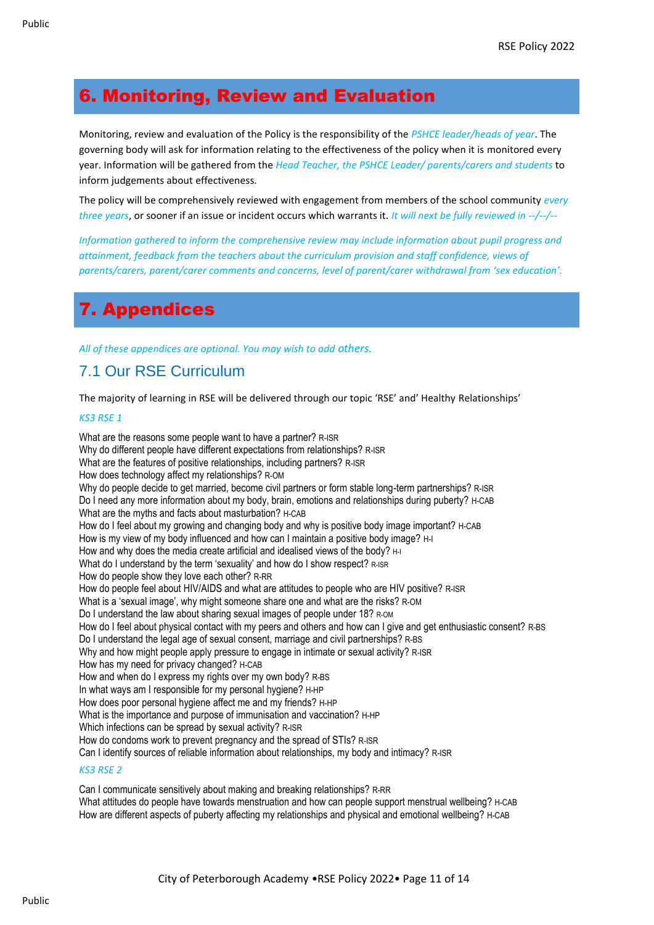## 6. Monitoring, Review and Evaluation

Monitoring, review and evaluation of the Policy is the responsibility of the *PSHCE leader/heads of year*. The governing body will ask for information relating to the effectiveness of the policy when it is monitored every year. Information will be gathered from the *Head Teacher, the PSHCE Leader/ parents/carers and students* to inform judgements about effectiveness.

The policy will be comprehensively reviewed with engagement from members of the school community *every three years*, or sooner if an issue or incident occurs which warrants it. *It will next be fully reviewed in --/--/--*

*Information gathered to inform the comprehensive review may include information about pupil progress and attainment, feedback from the teachers about the curriculum provision and staff confidence, views of parents/carers, parent/carer comments and concerns, level of parent/carer withdrawal from 'sex education'.*

## 7. Appendices

*All of these appendices are optional. You may wish to add others.*

#### 7.1 Our RSE Curriculum

The majority of learning in RSE will be delivered through our topic 'RSE' and' Healthy Relationships'

#### *KS3 RSE 1*

What are the reasons some people want to have a partner? R-ISR Why do different people have different expectations from relationships? R-ISR What are the features of positive relationships, including partners? R-ISR How does technology affect my relationships? R-OM Why do people decide to get married, become civil partners or form stable long-term partnerships? R-ISR Do I need any more information about my body, brain, emotions and relationships during puberty? H-CAB What are the myths and facts about masturbation? H-CAB How do I feel about my growing and changing body and why is positive body image important? H-CAB How is my view of my body influenced and how can I maintain a positive body image? H-I How and why does the media create artificial and idealised views of the body? H-I What do I understand by the term 'sexuality' and how do I show respect? R-ISR How do people show they love each other? R-RR How do people feel about HIV/AIDS and what are attitudes to people who are HIV positive? R-ISR What is a 'sexual image', why might someone share one and what are the risks? R-OM Do I understand the law about sharing sexual images of people under 18? R-OM How do I feel about physical contact with my peers and others and how can I give and get enthusiastic consent? R-BS Do I understand the legal age of sexual consent, marriage and civil partnerships? R-BS Why and how might people apply pressure to engage in intimate or sexual activity? R-ISR How has my need for privacy changed? H-CAB How and when do I express my rights over my own body? R-BS In what ways am I responsible for my personal hygiene? H-HP How does poor personal hygiene affect me and my friends? H-HP What is the importance and purpose of immunisation and vaccination? H-HP Which infections can be spread by sexual activity? R-ISR How do condoms work to prevent pregnancy and the spread of STIs? R-ISR Can I identify sources of reliable information about relationships, my body and intimacy? R-ISR

#### *KS3 RSE 2*

Can I communicate sensitively about making and breaking relationships? R-RR What attitudes do people have towards menstruation and how can people support menstrual wellbeing? H-CAB How are different aspects of puberty affecting my relationships and physical and emotional wellbeing? H-CAB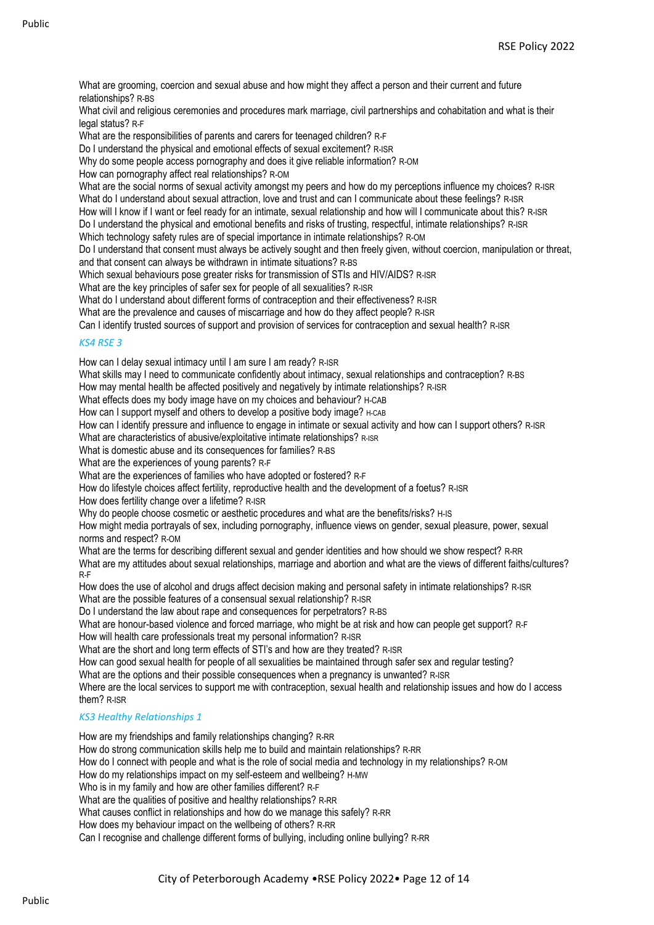What are grooming, coercion and sexual abuse and how might they affect a person and their current and future relationships? R-BS

What civil and religious ceremonies and procedures mark marriage, civil partnerships and cohabitation and what is their legal status? R-F

What are the responsibilities of parents and carers for teenaged children? R-F

Do I understand the physical and emotional effects of sexual excitement? R-ISR

Why do some people access pornography and does it give reliable information? R-OM

How can pornography affect real relationships? R-OM

What are the social norms of sexual activity amongst my peers and how do my perceptions influence my choices? R-ISR What do I understand about sexual attraction, love and trust and can I communicate about these feelings? R-ISR How will I know if I want or feel ready for an intimate, sexual relationship and how will I communicate about this? R-ISR Do I understand the physical and emotional benefits and risks of trusting, respectful, intimate relationships? R-ISR

Which technology safety rules are of special importance in intimate relationships? R-OM

Do I understand that consent must always be actively sought and then freely given, without coercion, manipulation or threat, and that consent can always be withdrawn in intimate situations? R-BS

Which sexual behaviours pose greater risks for transmission of STIs and HIV/AIDS? R-ISR

What are the key principles of safer sex for people of all sexualities? R-ISR

What do I understand about different forms of contraception and their effectiveness? R-ISR

What are the prevalence and causes of miscarriage and how do they affect people? R-ISR

Can I identify trusted sources of support and provision of services for contraception and sexual health? R-ISR

#### *KS4 RSE 3*

How can I delay sexual intimacy until I am sure I am ready? R-ISR

What skills may I need to communicate confidently about intimacy, sexual relationships and contraception? R-BS

How may mental health be affected positively and negatively by intimate relationships? R-ISR

What effects does my body image have on my choices and behaviour? H-CAB

How can I support myself and others to develop a positive body image? H-CAB

How can I identify pressure and influence to engage in intimate or sexual activity and how can I support others? R-ISR

What are characteristics of abusive/exploitative intimate relationships? R-ISR

What is domestic abuse and its consequences for families? R-BS

What are the experiences of young parents? R-F

What are the experiences of families who have adopted or fostered? R-F

How do lifestyle choices affect fertility, reproductive health and the development of a foetus? R-ISR

How does fertility change over a lifetime? R-ISR

Why do people choose cosmetic or aesthetic procedures and what are the benefits/risks? H-IS

How might media portrayals of sex, including pornography, influence views on gender, sexual pleasure, power, sexual norms and respect? R-OM

What are the terms for describing different sexual and gender identities and how should we show respect? R-RR What are my attitudes about sexual relationships, marriage and abortion and what are the views of different faiths/cultures? R-F

How does the use of alcohol and drugs affect decision making and personal safety in intimate relationships? R-ISR What are the possible features of a consensual sexual relationship? R-ISR

Do I understand the law about rape and consequences for perpetrators? R-BS

What are honour-based violence and forced marriage, who might be at risk and how can people get support? R-F How will health care professionals treat my personal information? R-ISR

What are the short and long term effects of STI's and how are they treated? R-ISR

How can good sexual health for people of all sexualities be maintained through safer sex and regular testing?

What are the options and their possible consequences when a pregnancy is unwanted? R-ISR

Where are the local services to support me with contraception, sexual health and relationship issues and how do I access them? R-ISR

#### *KS3 Healthy Relationships 1*

How are my friendships and family relationships changing? R-RR

How do strong communication skills help me to build and maintain relationships? R-RR

How do I connect with people and what is the role of social media and technology in my relationships? R-OM

How do my relationships impact on my self-esteem and wellbeing? H-MW

Who is in my family and how are other families different? R-F

What are the qualities of positive and healthy relationships? R-RR

What causes conflict in relationships and how do we manage this safely? R-RR

How does my behaviour impact on the wellbeing of others? R-RR

Can I recognise and challenge different forms of bullying, including online bullying? R-RR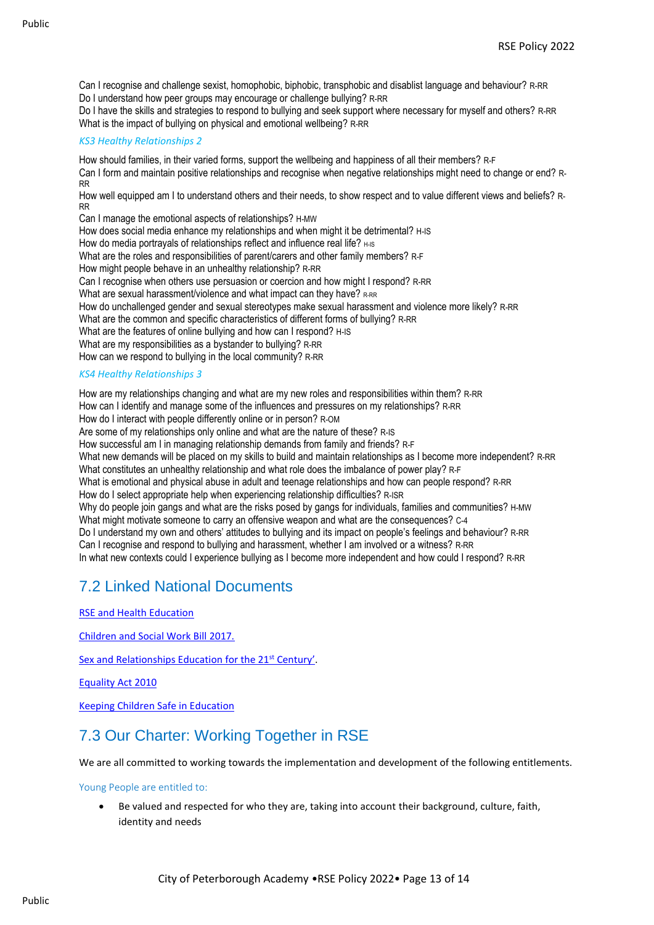Can I recognise and challenge sexist, homophobic, biphobic, transphobic and disablist language and behaviour? R-RR Do I understand how peer groups may encourage or challenge bullying? R-RR

Do I have the skills and strategies to respond to bullying and seek support where necessary for myself and others? R-RR What is the impact of bullying on physical and emotional wellbeing? R-RR

#### *KS3 Healthy Relationships 2*

How should families, in their varied forms, support the wellbeing and happiness of all their members? R-F Can I form and maintain positive relationships and recognise when negative relationships might need to change or end? R-RR

How well equipped am I to understand others and their needs, to show respect and to value different views and beliefs? R-RR

Can I manage the emotional aspects of relationships? H-MW

How does social media enhance my relationships and when might it be detrimental? H-IS

How do media portrayals of relationships reflect and influence real life? H-IS

What are the roles and responsibilities of parent/carers and other family members? R-F

How might people behave in an unhealthy relationship? R-RR

Can I recognise when others use persuasion or coercion and how might I respond? R-RR

What are sexual harassment/violence and what impact can they have? R-RR

How do unchallenged gender and sexual stereotypes make sexual harassment and violence more likely? R-RR

What are the common and specific characteristics of different forms of bullying? R-RR

What are the features of online bullying and how can I respond? H-IS

What are my responsibilities as a bystander to bullying? R-RR

How can we respond to bullying in the local community? R-RR

#### *KS4 Healthy Relationships 3*

How are my relationships changing and what are my new roles and responsibilities within them? R-RR How can I identify and manage some of the influences and pressures on my relationships? R-RR How do I interact with people differently online or in person? R-OM Are some of my relationships only online and what are the nature of these? R-IS How successful am I in managing relationship demands from family and friends? R-F What new demands will be placed on my skills to build and maintain relationships as I become more independent? R-RR What constitutes an unhealthy relationship and what role does the imbalance of power play? R-F What is emotional and physical abuse in adult and teenage relationships and how can people respond? R-RR How do I select appropriate help when experiencing relationship difficulties? R-ISR Why do people join gangs and what are the risks posed by gangs for individuals, families and communities? H-MW What might motivate someone to carry an offensive weapon and what are the consequences? C-4 Do I understand my own and others' attitudes to bullying and its impact on people's feelings and behaviour? R-RR Can I recognise and respond to bullying and harassment, whether I am involved or a witness? R-RR In what new contexts could I experience bullying as I become more independent and how could I respond? R-RR

#### 7.2 Linked National Documents

[RSE and Health Education](https://assets.publishing.service.gov.uk/government/uploads/system/uploads/attachment_data/file/805781/Relationships_Education__Relationships_and_Sex_Education__RSE__and_Health_Education.pdf)

[Children and Social Work Bill 2017.](http://www.legislation.gov.uk/ukpga/2017/16/section/34/enacted)

[Sex and Relationships Education for the 21](http://www.sexeducationforum.org.uk/media/17706/sreadvice.pdf)<sup>st</sup> Century'.

[Equality Act 2010](http://www.legislation.gov.uk/ukpga/2010/15/contents)

[Keeping Children Safe in Education](https://assets.publishing.service.gov.uk/government/uploads/system/uploads/attachment_data/file/835733/Keeping_children_safe_in_education_2019.pdf)

#### 7.3 Our Charter: Working Together in RSE

We are all committed to working towards the implementation and development of the following entitlements.

Young People are entitled to:

• Be valued and respected for who they are, taking into account their background, culture, faith, identity and needs